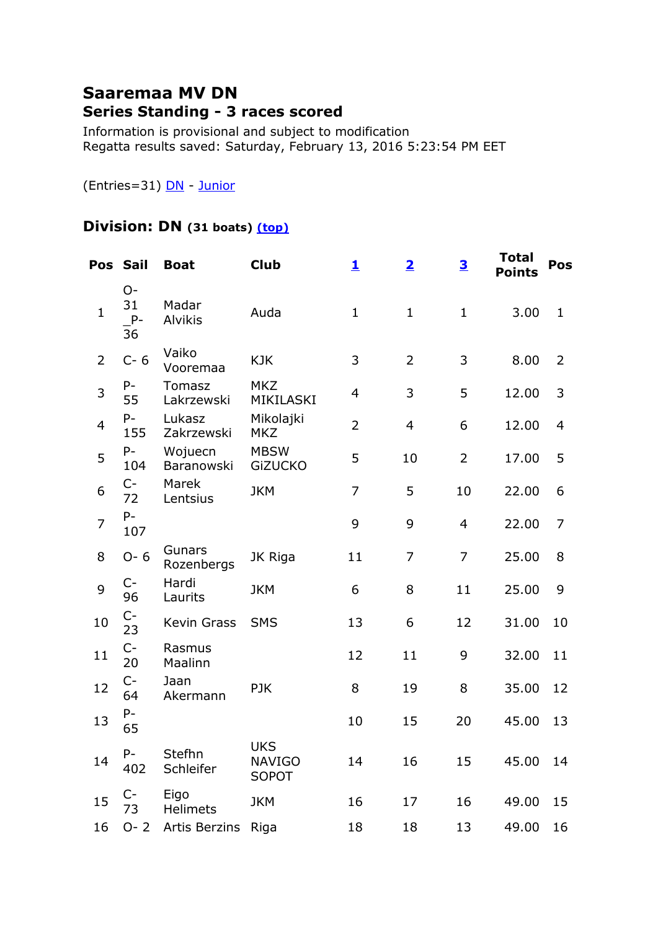## **Saaremaa MV DN Series Standing - 3 races scored**

Information is provisional and subject to modification Regatta results saved: Saturday, February 13, 2016 5:23:54 PM EET

(Entries=31) [DN](file:///C:/Users/triins/Documents/Purjetamine/Jääpurjetamine/2016/Saaremaa%20MV/reports/SaaremaaMV-DN/SaaremaaMV-DN.html%23DN) - [Junior](file:///C:/Users/triins/Documents/Purjetamine/Jääpurjetamine/2016/Saaremaa%20MV/reports/SaaremaaMV-DN/SaaremaaMV-DN.html%23Junior)

## **Division: DN (31 boats) [\(top\)](file:///C:/Users/triins/Documents/Purjetamine/Jääpurjetamine/2016/Saaremaa%20MV/reports/SaaremaaMV-DN/SaaremaaMV-DN.html%23top)**

|                | Pos Sail                 | <b>Boat</b>                 | <b>Club</b>                                 | 1              | $\overline{\mathbf{2}}$ | $\overline{\mathbf{3}}$ | <b>Total</b><br><b>Points</b> | Pos         |
|----------------|--------------------------|-----------------------------|---------------------------------------------|----------------|-------------------------|-------------------------|-------------------------------|-------------|
| $\mathbf{1}$   | $O-$<br>31<br>$P-$<br>36 | Madar<br><b>Alvikis</b>     | Auda                                        | $\mathbf{1}$   | $\mathbf{1}$            | $\mathbf 1$             | 3.00                          | $\mathbf 1$ |
| 2              | $C - 6$                  | Vaiko<br>Vooremaa           | <b>KJK</b>                                  | 3              | $\overline{2}$          | 3                       | 8.00                          | 2           |
| 3              | $P-$<br>55               | <b>Tomasz</b><br>Lakrzewski | <b>MKZ</b><br>MIKILASKI                     | $\overline{4}$ | 3                       | 5                       | 12.00                         | 3           |
| 4              | $P -$<br>155             | Lukasz<br>Zakrzewski        | Mikolajki<br><b>MKZ</b>                     | $\overline{2}$ | $\overline{4}$          | 6                       | 12.00                         | 4           |
| 5              | $P -$<br>104             | Wojuecn<br>Baranowski       | <b>MBSW</b><br><b>GiZUCKO</b>               | 5              | 10                      | $\overline{2}$          | 17.00                         | 5           |
| 6              | $C-$<br>72               | Marek<br>Lentsius           | <b>JKM</b>                                  | $\overline{7}$ | 5                       | 10                      | 22.00                         | 6           |
| $\overline{7}$ | $P -$<br>107             |                             |                                             | 9              | 9                       | $\overline{4}$          | 22.00                         | 7           |
| 8              | $O - 6$                  | Gunars<br>Rozenbergs        | JK Riga                                     | 11             | $\overline{7}$          | $\overline{7}$          | 25.00                         | 8           |
| 9              | $C-$<br>96               | Hardi<br>Laurits            | <b>JKM</b>                                  | 6              | 8                       | 11                      | 25.00                         | 9           |
| 10             | $C-$<br>23               | Kevin Grass                 | <b>SMS</b>                                  | 13             | 6                       | 12                      | 31.00                         | 10          |
| 11             | $C-$<br>20               | Rasmus<br>Maalinn           |                                             | 12             | 11                      | 9                       | 32.00                         | 11          |
| 12             | $C-$<br>64               | Jaan<br>Akermann            | <b>PJK</b>                                  | 8              | 19                      | 8                       | 35.00                         | 12          |
| 13             | $P -$<br>65              |                             |                                             | 10             | 15                      | 20                      | 45.00                         | 13          |
| 14             | $P -$<br>402             | Stefhn<br>Schleifer         | <b>UKS</b><br><b>NAVIGO</b><br><b>SOPOT</b> | 14             | 16                      | 15                      | 45.00                         | 14          |
| 15             | $C-$<br>73               | Eigo<br><b>Helimets</b>     | <b>JKM</b>                                  | 16             | 17                      | 16                      | 49.00                         | 15          |
| 16             | $O - 2$                  | Artis Berzins               | Riga                                        | 18             | 18                      | 13                      | 49.00                         | 16          |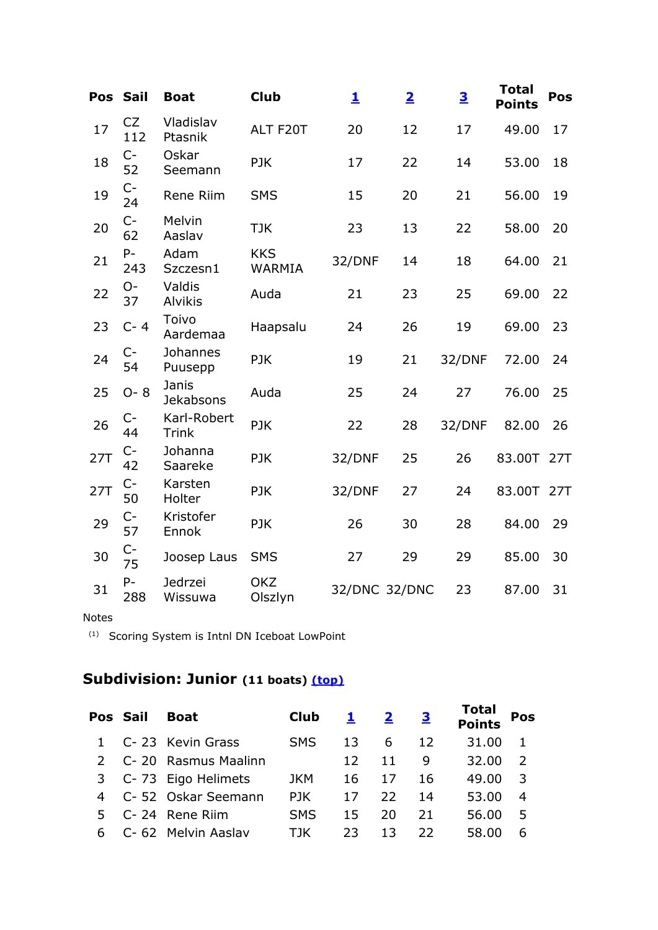| Pos | <b>Sail</b>  | <b>Boat</b>                 | <b>Club</b>                 | 1             | $\overline{\mathbf{2}}$ | $\overline{\mathbf{3}}$ | <b>Total</b><br><b>Points</b> | Pos |
|-----|--------------|-----------------------------|-----------------------------|---------------|-------------------------|-------------------------|-------------------------------|-----|
| 17  | CZ<br>112    | Vladislav<br>Ptasnik        | ALT F20T                    | 20            | 12                      | 17                      | 49.00                         | 17  |
| 18  | $C-$<br>52   | Oskar<br>Seemann            | <b>PJK</b>                  | 17            | 22                      | 14                      | 53.00                         | 18  |
| 19  | $C-$<br>24   | <b>Rene Riim</b>            | <b>SMS</b>                  | 15            | 20                      | 21                      | 56.00                         | 19  |
| 20  | $C-$<br>62   | Melvin<br>Aaslav            | <b>TJK</b>                  | 23            | 13                      | 22                      | 58.00                         | 20  |
| 21  | $P -$<br>243 | Adam<br>Szczesn1            | <b>KKS</b><br><b>WARMIA</b> | 32/DNF        | 14                      | 18                      | 64.00                         | 21  |
| 22  | $O-$<br>37   | Valdis<br><b>Alvikis</b>    | Auda                        | 21            | 23                      | 25                      | 69.00                         | 22  |
| 23  | $C - 4$      | Toivo<br>Aardemaa           | Haapsalu                    | 24            | 26                      | 19                      | 69.00                         | 23  |
| 24  | $C-$<br>54   | Johannes<br>Puusepp         | <b>PJK</b>                  | 19            | 21                      | 32/DNF                  | 72.00                         | 24  |
| 25  | $O - 8$      | Janis<br>Jekabsons          | Auda                        | 25            | 24                      | 27                      | 76.00                         | 25  |
| 26  | $C-$<br>44   | Karl-Robert<br><b>Trink</b> | <b>PJK</b>                  | 22            | 28                      | 32/DNF                  | 82.00                         | 26  |
| 27T | $C-$<br>42   | Johanna<br>Saareke          | <b>PJK</b>                  | 32/DNF        | 25                      | 26                      | 83.00T 27T                    |     |
| 27T | $C-$<br>50   | Karsten<br>Holter           | <b>PJK</b>                  | 32/DNF        | 27                      | 24                      | 83.00T                        | 27T |
| 29  | $C-$<br>57   | Kristofer<br>Ennok          | <b>PJK</b>                  | 26            | 30                      | 28                      | 84.00                         | 29  |
| 30  | $C-$<br>75   | Joosep Laus                 | <b>SMS</b>                  | 27            | 29                      | 29                      | 85.00                         | 30  |
| 31  | $P -$<br>288 | Jedrzei<br>Wissuwa          | <b>OKZ</b><br>Olszlyn       | 32/DNC 32/DNC |                         | 23                      | 87.00                         | 31  |

## Notes

(1) Scoring System is Intnl DN Iceboat LowPoint

## **Subdivision: Junior (11 boats) [\(top\)](file:///C:/Users/triins/Documents/Purjetamine/Jääpurjetamine/2016/Saaremaa%20MV/reports/SaaremaaMV-DN/SaaremaaMV-DN.html%23top)**

|    | Pos Sail | <b>Boat</b>           | <b>Club</b> | $\mathbf{L}$ | $\mathbf{2}$ | <u>3</u> | Total<br>Points | Pos            |
|----|----------|-----------------------|-------------|--------------|--------------|----------|-----------------|----------------|
|    |          | 1 C-23 Kevin Grass    | <b>SMS</b>  | 13           | 6            | 12       | 31.00           | $\blacksquare$ |
|    |          | 2 C-20 Rasmus Maalinn |             | 12           | 11           | 9        | 32.00           | $\mathcal{L}$  |
|    |          | 3 C-73 Eigo Helimets  | <b>JKM</b>  | 16           | 17           | 16       | 49.00           | - 3            |
|    |          | 4 C-52 Oskar Seemann  | PJK         | 17           | 22           | 14       | 53.00           | $\overline{4}$ |
|    |          | 5 C-24 Rene Riim      | <b>SMS</b>  | 15           | 20           | 21       | 56.00           | -5             |
| 6. |          | C- 62 Melvin Aaslav   | TIK         | 23           | 13           | 22.      | 58.00           | 6              |